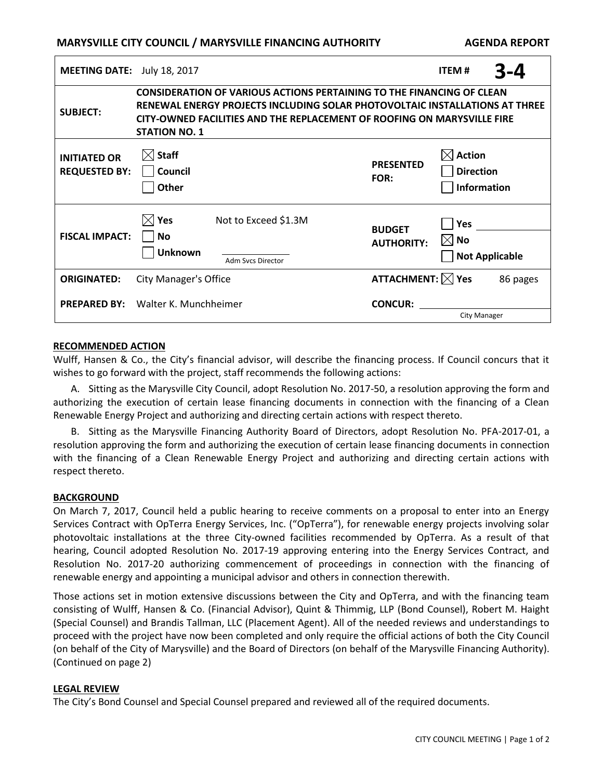# **MARYSVILLE CITY COUNCIL / MARYSVILLE FINANCING AUTHORITY AGENDA REPORT**

| <b>MEETING DATE:</b>                        | July 18, 2017                                                                                                                                                                                                                                                  |                                           |                                    | <b>ITEM#</b>                                          |  | $3 - 4$  |
|---------------------------------------------|----------------------------------------------------------------------------------------------------------------------------------------------------------------------------------------------------------------------------------------------------------------|-------------------------------------------|------------------------------------|-------------------------------------------------------|--|----------|
| <b>SUBJECT:</b>                             | <b>CONSIDERATION OF VARIOUS ACTIONS PERTAINING TO THE FINANCING OF CLEAN</b><br>RENEWAL ENERGY PROJECTS INCLUDING SOLAR PHOTOVOLTAIC INSTALLATIONS AT THREE<br>CITY-OWNED FACILITIES AND THE REPLACEMENT OF ROOFING ON MARYSVILLE FIRE<br><b>STATION NO. 1</b> |                                           |                                    |                                                       |  |          |
| <b>INITIATED OR</b><br><b>REQUESTED BY:</b> | $\boxtimes$ Staff<br>  Council<br>$\exists$ Other                                                                                                                                                                                                              |                                           | <b>PRESENTED</b><br>FOR:           | $\boxtimes$ Action<br>Direction<br>Information        |  |          |
| <b>FISCAL IMPACT:</b>                       | $\boxtimes$ Yes<br>  No<br><b>Unknown</b>                                                                                                                                                                                                                      | Not to Exceed \$1.3M<br>Adm Svcs Director | <b>BUDGET</b><br><b>AUTHORITY:</b> | <b>Yes</b><br>$\boxtimes$ No<br>$\Box$ Not Applicable |  |          |
| <b>ORIGINATED:</b>                          | <b>City Manager's Office</b>                                                                                                                                                                                                                                   |                                           | <b>ATTACHMENT:</b> $\boxtimes$ Yes |                                                       |  | 86 pages |
| <b>PREPARED BY:</b>                         | Walter K. Munchheimer                                                                                                                                                                                                                                          |                                           | <b>CONCUR:</b>                     | <b>City Manager</b>                                   |  |          |

#### **RECOMMENDED ACTION**

Wulff, Hansen & Co., the City's financial advisor, will describe the financing process. If Council concurs that it wishes to go forward with the project, staff recommends the following actions:

A. Sitting as the Marysville City Council, adopt Resolution No. 2017-50, a resolution approving the form and authorizing the execution of certain lease financing documents in connection with the financing of a Clean Renewable Energy Project and authorizing and directing certain actions with respect thereto.

B. Sitting as the Marysville Financing Authority Board of Directors, adopt Resolution No. PFA-2017-01, a resolution approving the form and authorizing the execution of certain lease financing documents in connection with the financing of a Clean Renewable Energy Project and authorizing and directing certain actions with respect thereto.

#### **BACKGROUND**

On March 7, 2017, Council held a public hearing to receive comments on a proposal to enter into an Energy Services Contract with OpTerra Energy Services, Inc. ("OpTerra"), for renewable energy projects involving solar photovoltaic installations at the three City-owned facilities recommended by OpTerra. As a result of that hearing, Council adopted Resolution No. 2017-19 approving entering into the Energy Services Contract, and Resolution No. 2017-20 authorizing commencement of proceedings in connection with the financing of renewable energy and appointing a municipal advisor and others in connection therewith.

Those actions set in motion extensive discussions between the City and OpTerra, and with the financing team consisting of Wulff, Hansen & Co. (Financial Advisor), Quint & Thimmig, LLP (Bond Counsel), Robert M. Haight (Special Counsel) and Brandis Tallman, LLC (Placement Agent). All of the needed reviews and understandings to proceed with the project have now been completed and only require the official actions of both the City Council (on behalf of the City of Marysville) and the Board of Directors (on behalf of the Marysville Financing Authority). (Continued on page 2)

### **LEGAL REVIEW**

The City's Bond Counsel and Special Counsel prepared and reviewed all of the required documents.